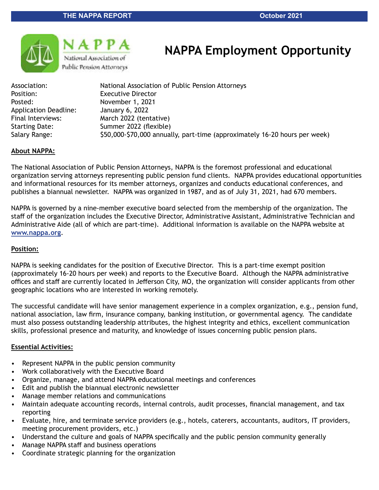



# **NAPPA Employment Opportunity**

Association: National Association of Public Pension Attorneys Position: Executive Director Posted: November 1, 2021 Application Deadline: January 6, 2022 Final Interviews: March 2022 (tentative) Starting Date: Summer 2022 (flexible) Salary Range: \$50,000-\$70,000 annually, part-time (approximately 16-20 hours per week)

#### **About NAPPA:**

The National Association of Public Pension Attorneys, NAPPA is the foremost professional and educational organization serving attorneys representing public pension fund clients. NAPPA provides educational opportunities and informational resources for its member attorneys, organizes and conducts educational conferences, and publishes a biannual newsletter. NAPPA was organized in 1987, and as of July 31, 2021, had 670 members.

NAPPA is governed by a nine-member executive board selected from the membership of the organization. The staff of the organization includes the Executive Director, Administrative Assistant, Administrative Technician and Administrative Aide (all of which are part-time). Additional information is available on the NAPPA website at **[www.nappa.org](http://www.nappa.org)**.

#### **Position:**

NAPPA is seeking candidates for the position of Executive Director. This is a part-time exempt position (approximately 16-20 hours per week) and reports to the Executive Board. Although the NAPPA administrative offices and staff are currently located in Jefferson City, MO, the organization will consider applicants from other geographic locations who are interested in working remotely.

The successful candidate will have senior management experience in a complex organization, e.g., pension fund, national association, law firm, insurance company, banking institution, or governmental agency. The candidate must also possess outstanding leadership attributes, the highest integrity and ethics, excellent communication skills, professional presence and maturity, and knowledge of issues concerning public pension plans.

#### **Essential Activities:**

- Represent NAPPA in the public pension community
- Work collaboratively with the Executive Board
- Organize, manage, and attend NAPPA educational meetings and conferences
- Edit and publish the biannual electronic newsletter
- Manage member relations and communications
- Maintain adequate accounting records, internal controls, audit processes, financial management, and tax reporting
- Evaluate, hire, and terminate service providers (e.g., hotels, caterers, accountants, auditors, IT providers, meeting procurement providers, etc.)
- Understand the culture and goals of NAPPA specifically and the public pension community generally
- Manage NAPPA staff and business operations
- Coordinate strategic planning for the organization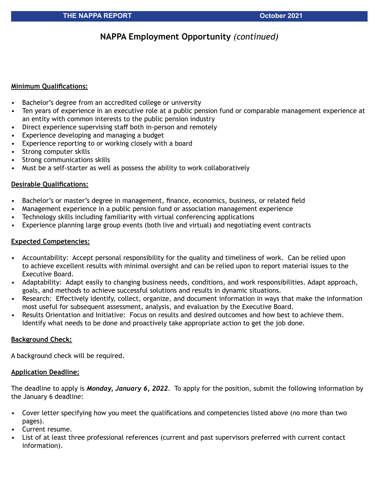## **NAPPA Employment Opportunity** *(continued)*

#### **Minimum Qualifications:**

- Bachelor's degree from an accredited college or university
- Ten years of experience in an executive role at a public pension fund or comparable management experience at an entity with common interests to the public pension industry
- Direct experience supervising staff both in-person and remotely
- Experience developing and managing a budget
- Experience reporting to or working closely with a board
- Strong computer skills
- Strong communications skills
- Must be a self-starter as well as possess the ability to work collaboratively

#### **Desirable Qualifications:**

- Bachelor's or master's degree in management, finance, economics, business, or related field
- Management experience in a public pension fund or association management experience
- Technology skills including familiarity with virtual conferencing applications
- Experience planning large group events (both live and virtual) and negotiating event contracts

#### **Expected Competencies:**

- Accountability: Accept personal responsibility for the quality and timeliness of work. Can be relied upon to achieve excellent results with minimal oversight and can be relied upon to report material issues to the Executive Board.
- Adaptability: Adapt easily to changing business needs, conditions, and work responsibilities. Adapt approach, goals, and methods to achieve successful solutions and results in dynamic situations.
- Research: Effectively identify, collect, organize, and document information in ways that make the information most useful for subsequent assessment, analysis, and evaluation by the Executive Board.
- Results Orientation and Initiative: Focus on results and desired outcomes and how best to achieve them. Identify what needs to be done and proactively take appropriate action to get the job done.

#### **Background Check:**

A background check will be required.

#### **Application Deadline:**

The deadline to apply is *Monday, January 6, 2022*. To apply for the position, submit the following information by the January 6 deadline:

- Cover letter specifying how you meet the qualifications and competencies listed above (no more than two pages).
- Current resume.
- List of at least three professional references (current and past supervisors preferred with current contact information).